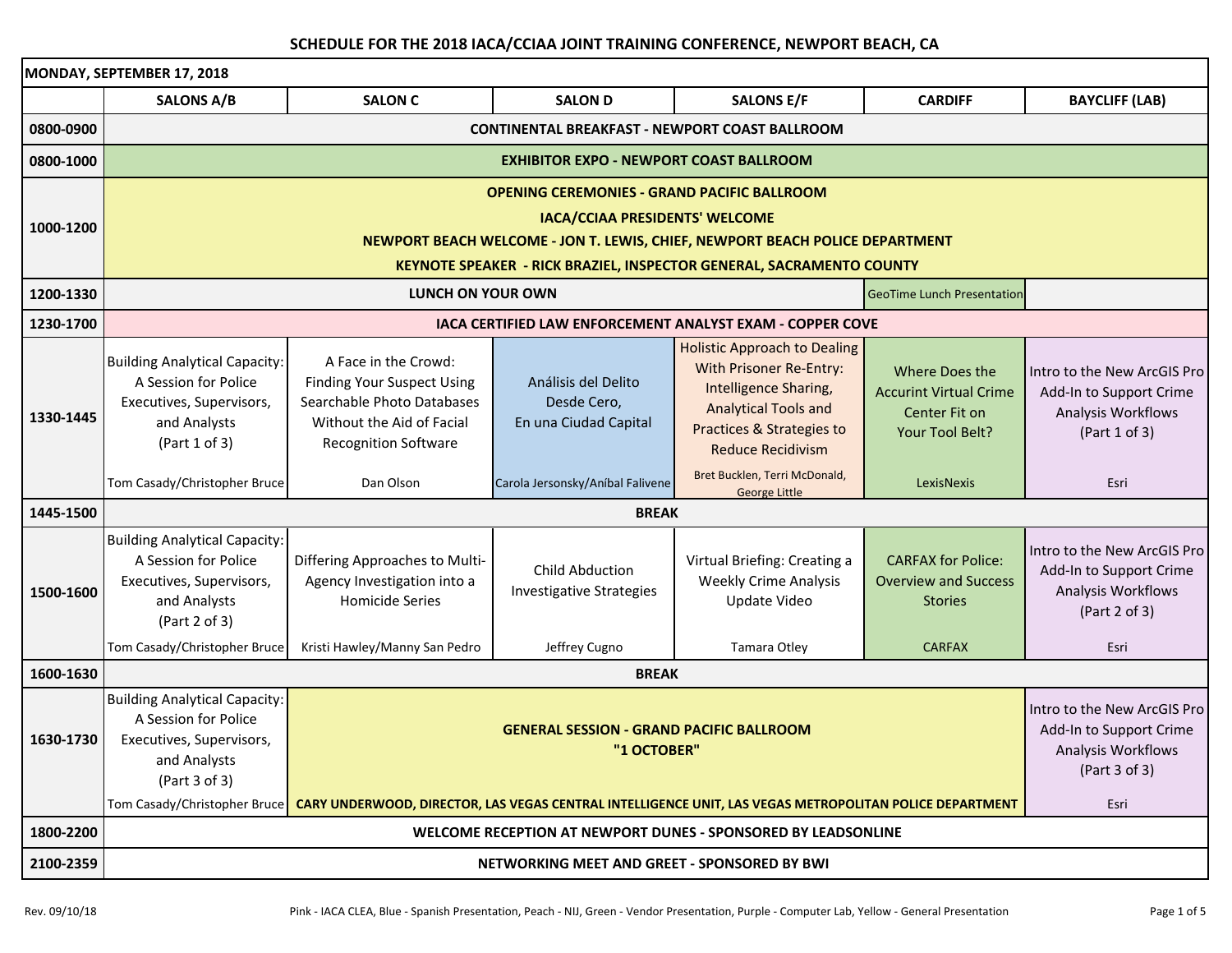|           | MONDAY, SEPTEMBER 17, 2018                                                                                                |                                                                                                                                                     |                                                             |                                                                                                                                                                                 |                                                                                            |                                                                                               |  |  |  |
|-----------|---------------------------------------------------------------------------------------------------------------------------|-----------------------------------------------------------------------------------------------------------------------------------------------------|-------------------------------------------------------------|---------------------------------------------------------------------------------------------------------------------------------------------------------------------------------|--------------------------------------------------------------------------------------------|-----------------------------------------------------------------------------------------------|--|--|--|
|           | <b>SALONS A/B</b>                                                                                                         | <b>SALON C</b>                                                                                                                                      | <b>SALON D</b>                                              | <b>SALONS E/F</b>                                                                                                                                                               | <b>CARDIFF</b>                                                                             | <b>BAYCLIFF (LAB)</b>                                                                         |  |  |  |
| 0800-0900 | <b>CONTINENTAL BREAKFAST - NEWPORT COAST BALLROOM</b>                                                                     |                                                                                                                                                     |                                                             |                                                                                                                                                                                 |                                                                                            |                                                                                               |  |  |  |
| 0800-1000 | <b>EXHIBITOR EXPO - NEWPORT COAST BALLROOM</b>                                                                            |                                                                                                                                                     |                                                             |                                                                                                                                                                                 |                                                                                            |                                                                                               |  |  |  |
|           | <b>OPENING CEREMONIES - GRAND PACIFIC BALLROOM</b>                                                                        |                                                                                                                                                     |                                                             |                                                                                                                                                                                 |                                                                                            |                                                                                               |  |  |  |
| 1000-1200 | IACA/CCIAA PRESIDENTS' WELCOME                                                                                            |                                                                                                                                                     |                                                             |                                                                                                                                                                                 |                                                                                            |                                                                                               |  |  |  |
|           | NEWPORT BEACH WELCOME - JON T. LEWIS, CHIEF, NEWPORT BEACH POLICE DEPARTMENT                                              |                                                                                                                                                     |                                                             |                                                                                                                                                                                 |                                                                                            |                                                                                               |  |  |  |
|           | <b>KEYNOTE SPEAKER - RICK BRAZIEL, INSPECTOR GENERAL, SACRAMENTO COUNTY</b>                                               |                                                                                                                                                     |                                                             |                                                                                                                                                                                 |                                                                                            |                                                                                               |  |  |  |
| 1200-1330 | LUNCH ON YOUR OWN<br><b>GeoTime Lunch Presentation</b>                                                                    |                                                                                                                                                     |                                                             |                                                                                                                                                                                 |                                                                                            |                                                                                               |  |  |  |
| 1230-1700 | <b>IACA CERTIFIED LAW ENFORCEMENT ANALYST EXAM - COPPER COVE</b>                                                          |                                                                                                                                                     |                                                             |                                                                                                                                                                                 |                                                                                            |                                                                                               |  |  |  |
| 1330-1445 | <b>Building Analytical Capacity:</b><br>A Session for Police<br>Executives, Supervisors,<br>and Analysts<br>(Part 1 of 3) | A Face in the Crowd:<br><b>Finding Your Suspect Using</b><br>Searchable Photo Databases<br>Without the Aid of Facial<br><b>Recognition Software</b> | Análisis del Delito<br>Desde Cero,<br>En una Ciudad Capital | <b>Holistic Approach to Dealing</b><br>With Prisoner Re-Entry:<br>Intelligence Sharing,<br><b>Analytical Tools and</b><br>Practices & Strategies to<br><b>Reduce Recidivism</b> | <b>Where Does the</b><br><b>Accurint Virtual Crime</b><br>Center Fit on<br>Your Tool Belt? | Intro to the New ArcGIS Pro<br>Add-In to Support Crime<br>Analysis Workflows<br>(Part 1 of 3) |  |  |  |
|           | Tom Casady/Christopher Bruce                                                                                              | Dan Olson                                                                                                                                           | Carola Jersonsky/Aníbal Falivene                            | Bret Bucklen, Terri McDonald,<br><b>George Little</b>                                                                                                                           | LexisNexis                                                                                 | Esri                                                                                          |  |  |  |
| 1445-1500 | <b>BREAK</b>                                                                                                              |                                                                                                                                                     |                                                             |                                                                                                                                                                                 |                                                                                            |                                                                                               |  |  |  |
| 1500-1600 | <b>Building Analytical Capacity:</b><br>A Session for Police<br>Executives, Supervisors,<br>and Analysts<br>(Part 2 of 3) | Differing Approaches to Multi-<br>Agency Investigation into a<br><b>Homicide Series</b>                                                             | <b>Child Abduction</b><br><b>Investigative Strategies</b>   | Virtual Briefing: Creating a<br><b>Weekly Crime Analysis</b><br>Update Video                                                                                                    | <b>CARFAX for Police:</b><br><b>Overview and Success</b><br><b>Stories</b>                 | Intro to the New ArcGIS Pro<br>Add-In to Support Crime<br>Analysis Workflows<br>(Part 2 of 3) |  |  |  |
|           | Tom Casady/Christopher Bruce                                                                                              | Kristi Hawley/Manny San Pedro                                                                                                                       | Jeffrey Cugno                                               | Tamara Otley                                                                                                                                                                    | <b>CARFAX</b>                                                                              | Esri                                                                                          |  |  |  |
| 1600-1630 | <b>BREAK</b>                                                                                                              |                                                                                                                                                     |                                                             |                                                                                                                                                                                 |                                                                                            |                                                                                               |  |  |  |
| 1630-1730 | <b>Building Analytical Capacity:</b><br>A Session for Police<br>Executives, Supervisors,<br>and Analysts<br>(Part 3 of 3) | <b>GENERAL SESSION - GRAND PACIFIC BALLROOM</b><br>"1 OCTOBER"                                                                                      |                                                             |                                                                                                                                                                                 |                                                                                            | Intro to the New ArcGIS Pro<br>Add-In to Support Crime<br>Analysis Workflows<br>(Part 3 of 3) |  |  |  |
|           |                                                                                                                           | Tom Casady/Christopher Bruce   CARY UNDERWOOD, DIRECTOR, LAS VEGAS CENTRAL INTELLIGENCE UNIT, LAS VEGAS METROPOLITAN POLICE DEPARTMENT              | Esri                                                        |                                                                                                                                                                                 |                                                                                            |                                                                                               |  |  |  |
| 1800-2200 | WELCOME RECEPTION AT NEWPORT DUNES - SPONSORED BY LEADSONLINE                                                             |                                                                                                                                                     |                                                             |                                                                                                                                                                                 |                                                                                            |                                                                                               |  |  |  |
| 2100-2359 | NETWORKING MEET AND GREET - SPONSORED BY BWI                                                                              |                                                                                                                                                     |                                                             |                                                                                                                                                                                 |                                                                                            |                                                                                               |  |  |  |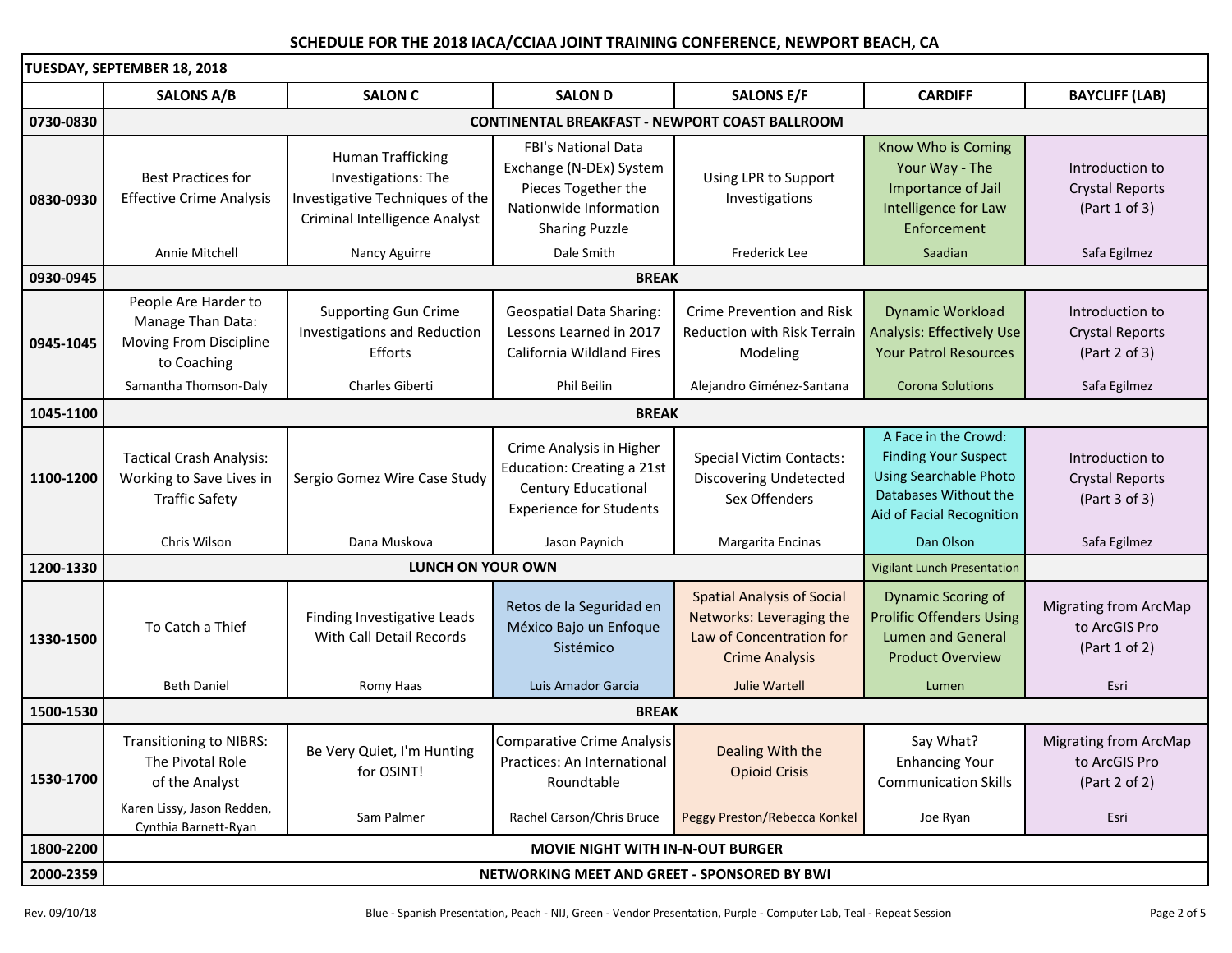**TUESDAY, SEPTEMBER 18, 2018 SALONS A/B SALON C SALON D SALONS E/F CARDIFF BAYCLIFF (LAB) 0730‐0830 CONTINENTAL BREAKFAST ‐ NEWPORT COAST BALLROOM**Best Practices for Effective Crime Analysis Human Trafficking Investigations: The Investigative Techniques of the Criminal Intelligence Analyst FBI's National DataExchange (N‐DEx) System Pieces Together the Nationwide InformationSharing Puzzle Using LPR to Support Investigations Know Who is Coming Your Way ‐ The Importance of Jail Intelligence for Law EnforcementIntroduction toCrystal Reports (Part 1 of 3) **Annie Mitchell** e Mitchell Nancy Aguirre (Calle Smith Safa Egilmez Santian Safa Egilmez Safa Egilmez Safa Egilmez Safa Egilmez **0930‐0945 BREAK**People Are Harder to Manage Than Data: Moving From Discipline to Coaching Supporting Gun Crime Investigations and Reduction EffortsGeospatial Data Sharing: Lessons Learned in 2017 California Wildland Fires Crime Prevention and Risk Reduction with Risk Terrain Modeling Dynamic Workload Analysis: Effectively Use Your Patrol ResourcesIntroduction toCrystal Reports (Part 2 of 3) Samantha Thomson-Dalv Thomson Charles Giberti Phil Beilin Alejandro Giménez‐Santana Corona Solutions Safa Egilmez **1045‐1100 BREAK1100‐1200**Tactical Crash Analysis: Working to Save Lives in Traffic Safety Sergio Gomez Wire Case Study Crime Analysis in Higher Education: Creating <sup>a</sup> 21st Century Educational Experience for Students Special Victim Contacts: Discovering Undetected Sex Offenders A Face in the Crowd: Finding Your Suspect Using Searchable Photo Databases Without the Aid of Facial Recognition Introduction toCrystal Reports (Part 3 of 3) Chris Wilson DanaDana Muskova **Jason** Paynich Margarita Encinas **National Component Component Component Component Component Component Component Component Component Component Component Component Component Component Component Component Component Component Component Comp 1200‐1330** Vigilant Lunch Presentation To Catch a Thief Finding Investigative Leads<br>With Call Detail Records Retos de la Seguridad en<br>México Bajo un Enfoque<br>Sistémico Spatial Analysis of Social Networks: Leveraging the Law of Concentration for CrimeAnalysis of Social Dynamic Scoring of Lumen and General Prolific Offenders Using to ArcGIS Pro<br>
ncentration for Lumen and General to ArcGIS Pro<br>
e Analysis Product Overview (Part 1 of 2) **Beth Daniel**  Daniel Romy Haas Luis Amador Garcia Julie Wartell Lumen Esri **1500‐1530 BREAK**Transitioning to NIBRS: The Pivotal Role of the Analyst Be Very Quiet, I'm Hunting for OSINT! Comparative Crime Analysis Practices: An International RoundtableDealing With the Opioid Crisis Say What? Enhancing Your Communication Skills Migrating from ArcMap to ArcGIS Pro (Part 2 of 2) Karen Lissy, Jason Redden, Cynthia Barnett‐Ryan Sam Palmer Rachel Carson/Chris Bruce Peggy Preston/Rebecca Konkel Joe Ryan Joe Ryan Esri **1800‐2200 MOVIE NIGHT WITH IN‐N‐OUT BURGER 2000‐2359 NETWORKING MEET AND GREET ‐ SPONSORED BY BWI LUNCH ON YOUR OWN 0830‐09300945‐10451330‐15001530‐1700**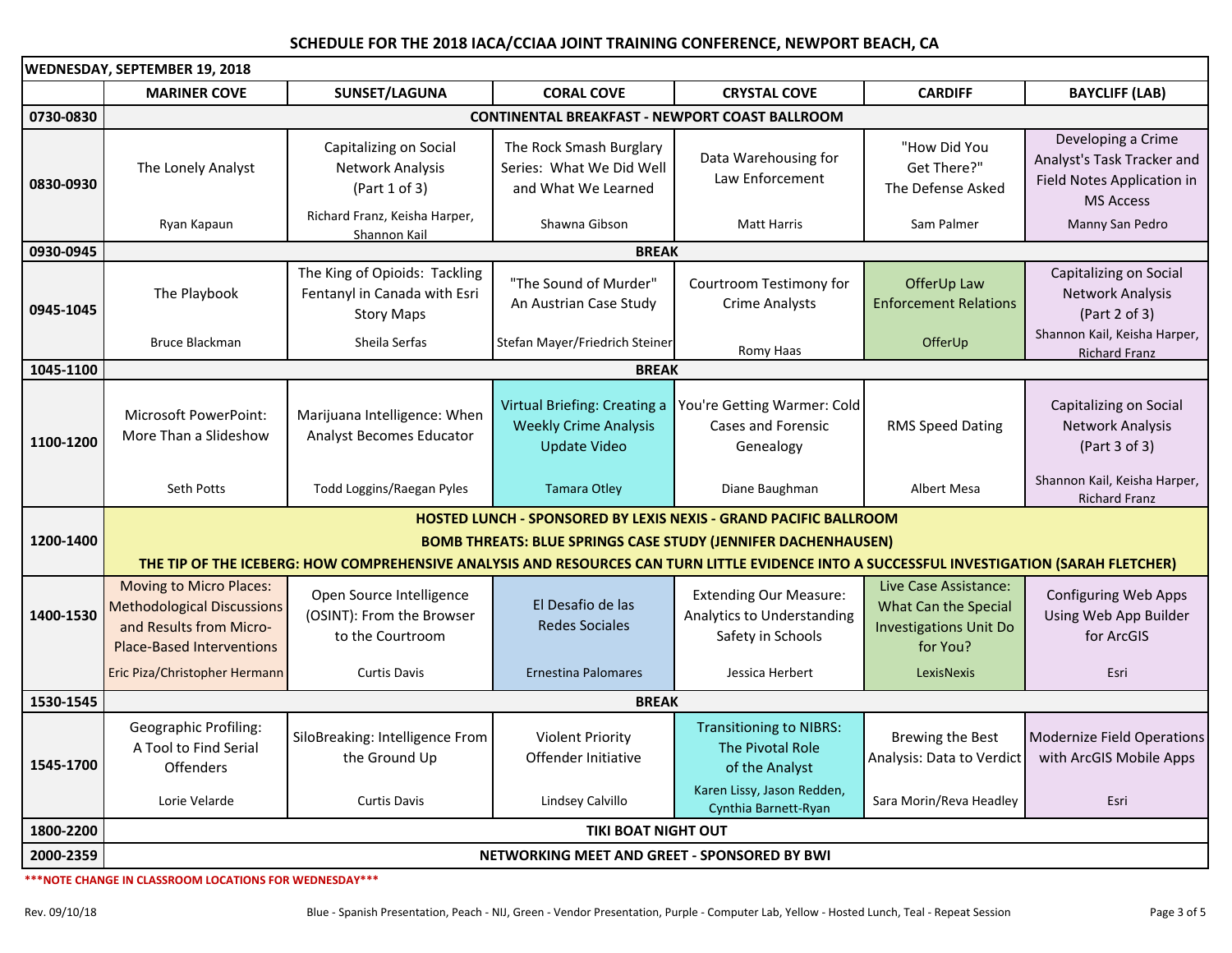| WEDNESDAY, SEPTEMBER 19, 2018 |                                                                                                                                                                                                                    |                                                                                    |                                                                                     |                                                                                  |                                                                                            |                                                                                                    |  |  |
|-------------------------------|--------------------------------------------------------------------------------------------------------------------------------------------------------------------------------------------------------------------|------------------------------------------------------------------------------------|-------------------------------------------------------------------------------------|----------------------------------------------------------------------------------|--------------------------------------------------------------------------------------------|----------------------------------------------------------------------------------------------------|--|--|
|                               | <b>MARINER COVE</b>                                                                                                                                                                                                | SUNSET/LAGUNA                                                                      | <b>CORAL COVE</b>                                                                   | <b>CRYSTAL COVE</b>                                                              | <b>CARDIFF</b>                                                                             | <b>BAYCLIFF (LAB)</b>                                                                              |  |  |
| 0730-0830                     | <b>CONTINENTAL BREAKFAST - NEWPORT COAST BALLROOM</b>                                                                                                                                                              |                                                                                    |                                                                                     |                                                                                  |                                                                                            |                                                                                                    |  |  |
| 0830-0930                     | The Lonely Analyst                                                                                                                                                                                                 | Capitalizing on Social<br>Network Analysis<br>(Part 1 of 3)                        | The Rock Smash Burglary<br>Series: What We Did Well<br>and What We Learned          | Data Warehousing for<br>Law Enforcement                                          | "How Did You<br>Get There?"<br>The Defense Asked                                           | Developing a Crime<br>Analyst's Task Tracker and<br>Field Notes Application in<br><b>MS Access</b> |  |  |
|                               | Ryan Kapaun                                                                                                                                                                                                        | Richard Franz, Keisha Harper,<br>Shannon Kail                                      | Shawna Gibson                                                                       | <b>Matt Harris</b>                                                               | Sam Palmer                                                                                 | Manny San Pedro                                                                                    |  |  |
| 0930-0945                     | <b>BREAK</b>                                                                                                                                                                                                       |                                                                                    |                                                                                     |                                                                                  |                                                                                            |                                                                                                    |  |  |
| 0945-1045                     | The Playbook                                                                                                                                                                                                       | The King of Opioids: Tackling<br>Fentanyl in Canada with Esri<br><b>Story Maps</b> | "The Sound of Murder"<br>An Austrian Case Study                                     | Courtroom Testimony for<br><b>Crime Analysts</b>                                 | OfferUp Law<br><b>Enforcement Relations</b>                                                | Capitalizing on Social<br>Network Analysis<br>(Part 2 of 3)                                        |  |  |
|                               | <b>Bruce Blackman</b>                                                                                                                                                                                              | Sheila Serfas                                                                      | Stefan Mayer/Friedrich Steiner                                                      | Romy Haas                                                                        | OfferUp                                                                                    | Shannon Kail, Keisha Harper,<br><b>Richard Franz</b>                                               |  |  |
| 1045-1100                     |                                                                                                                                                                                                                    |                                                                                    | <b>BREAK</b>                                                                        |                                                                                  |                                                                                            |                                                                                                    |  |  |
| 1100-1200                     | <b>Microsoft PowerPoint:</b><br>More Than a Slideshow                                                                                                                                                              | Marijuana Intelligence: When<br><b>Analyst Becomes Educator</b>                    | Virtual Briefing: Creating a<br><b>Weekly Crime Analysis</b><br><b>Update Video</b> | You're Getting Warmer: Cold<br><b>Cases and Forensic</b><br>Genealogy            | <b>RMS Speed Dating</b>                                                                    | Capitalizing on Social<br>Network Analysis<br>(Part 3 of 3)                                        |  |  |
|                               | Seth Potts                                                                                                                                                                                                         | Todd Loggins/Raegan Pyles                                                          | <b>Tamara Otley</b>                                                                 | Diane Baughman                                                                   | Albert Mesa                                                                                | Shannon Kail, Keisha Harper,<br><b>Richard Franz</b>                                               |  |  |
|                               | <b>HOSTED LUNCH - SPONSORED BY LEXIS NEXIS - GRAND PACIFIC BALLROOM</b>                                                                                                                                            |                                                                                    |                                                                                     |                                                                                  |                                                                                            |                                                                                                    |  |  |
| 1200-1400                     | <b>BOMB THREATS: BLUE SPRINGS CASE STUDY (JENNIFER DACHENHAUSEN)</b><br>THE TIP OF THE ICEBERG: HOW COMPREHENSIVE ANALYSIS AND RESOURCES CAN TURN LITTLE EVIDENCE INTO A SUCCESSFUL INVESTIGATION (SARAH FLETCHER) |                                                                                    |                                                                                     |                                                                                  |                                                                                            |                                                                                                    |  |  |
| 1400-1530                     | <b>Moving to Micro Places:</b><br><b>Methodological Discussions</b><br>and Results from Micro-<br><b>Place-Based Interventions</b>                                                                                 | Open Source Intelligence<br>(OSINT): From the Browser<br>to the Courtroom          | El Desafio de las<br><b>Redes Sociales</b>                                          | <b>Extending Our Measure:</b><br>Analytics to Understanding<br>Safety in Schools | Live Case Assistance:<br>What Can the Special<br><b>Investigations Unit Do</b><br>for You? | <b>Configuring Web Apps</b><br>Using Web App Builder<br>for ArcGIS                                 |  |  |
|                               | Eric Piza/Christopher Hermann                                                                                                                                                                                      | <b>Curtis Davis</b>                                                                | <b>Ernestina Palomares</b>                                                          | Jessica Herbert                                                                  | LexisNexis                                                                                 | Esri                                                                                               |  |  |
| 1530-1545                     |                                                                                                                                                                                                                    | <b>BREAK</b>                                                                       |                                                                                     |                                                                                  |                                                                                            |                                                                                                    |  |  |
| 1545-1700                     | Geographic Profiling:<br>A Tool to Find Serial<br><b>Offenders</b>                                                                                                                                                 | SiloBreaking: Intelligence From<br>the Ground Up                                   | <b>Violent Priority</b><br>Offender Initiative                                      | <b>Transitioning to NIBRS:</b><br>The Pivotal Role<br>of the Analyst             | Brewing the Best<br>Analysis: Data to Verdict                                              | <b>Modernize Field Operations</b><br>with ArcGIS Mobile Apps                                       |  |  |
|                               | Lorie Velarde                                                                                                                                                                                                      | <b>Curtis Davis</b>                                                                | Lindsey Calvillo                                                                    | Karen Lissy, Jason Redden,<br>Cynthia Barnett-Ryan                               | Sara Morin/Reva Headley                                                                    | Esri                                                                                               |  |  |
| 1800-2200                     | <b>TIKI BOAT NIGHT OUT</b>                                                                                                                                                                                         |                                                                                    |                                                                                     |                                                                                  |                                                                                            |                                                                                                    |  |  |
| 2000-2359                     | NETWORKING MEET AND GREET - SPONSORED BY BWI                                                                                                                                                                       |                                                                                    |                                                                                     |                                                                                  |                                                                                            |                                                                                                    |  |  |

**\*\*\*NOTE CHANGE IN CLASSROOM LOCATIONS FOR WEDNESDAY\*\*\***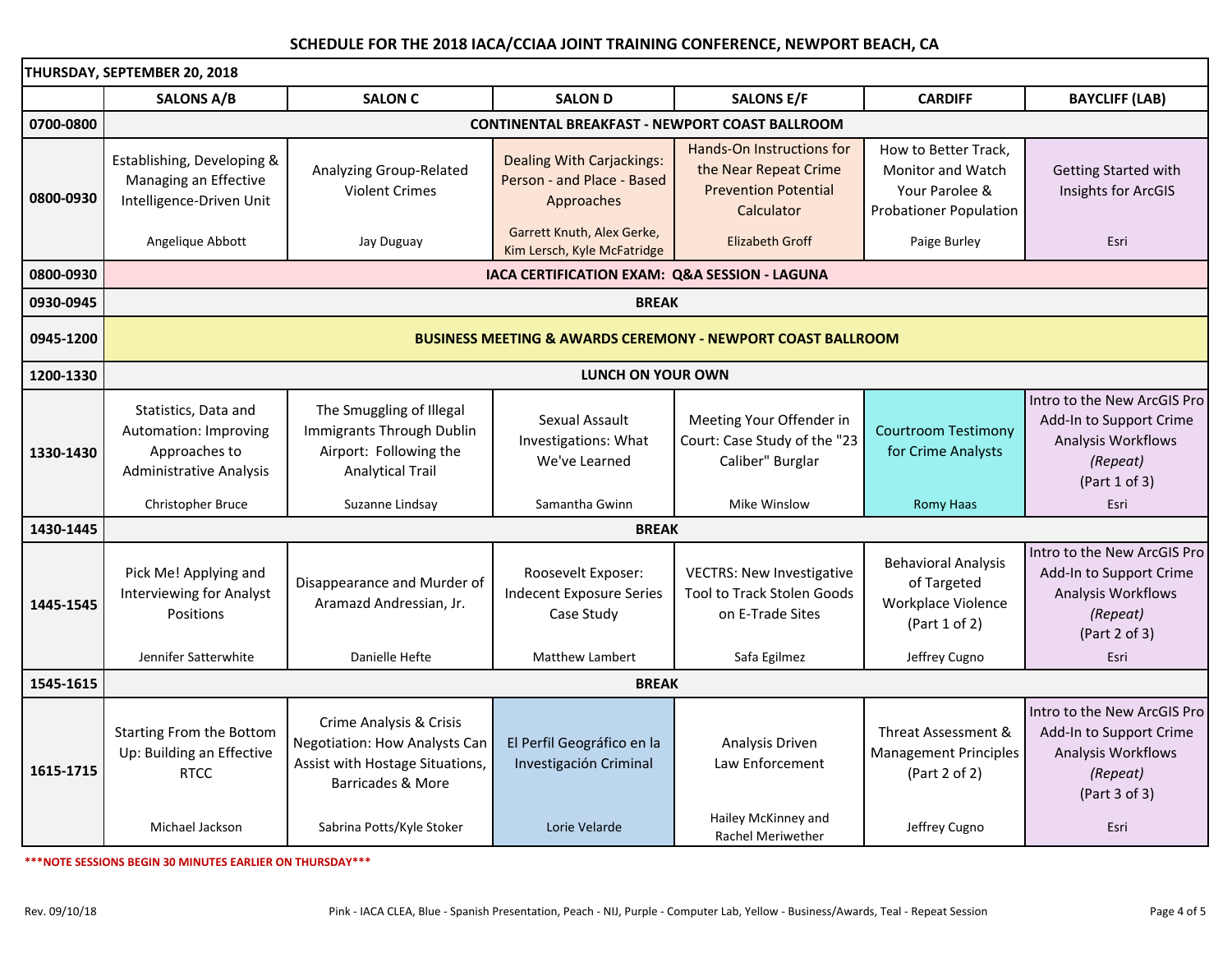| THURSDAY, SEPTEMBER 20, 2018 |                                                                                                     |                                                                                                                         |                                                                                                                                           |                                                                                                                           |                                                                                                              |                                                                                                           |  |
|------------------------------|-----------------------------------------------------------------------------------------------------|-------------------------------------------------------------------------------------------------------------------------|-------------------------------------------------------------------------------------------------------------------------------------------|---------------------------------------------------------------------------------------------------------------------------|--------------------------------------------------------------------------------------------------------------|-----------------------------------------------------------------------------------------------------------|--|
|                              | <b>SALONS A/B</b>                                                                                   | <b>SALON C</b>                                                                                                          | <b>SALON D</b>                                                                                                                            | <b>SALONS E/F</b>                                                                                                         | <b>CARDIFF</b>                                                                                               | <b>BAYCLIFF (LAB)</b>                                                                                     |  |
| 0700-0800                    | <b>CONTINENTAL BREAKFAST - NEWPORT COAST BALLROOM</b>                                               |                                                                                                                         |                                                                                                                                           |                                                                                                                           |                                                                                                              |                                                                                                           |  |
| 0800-0930                    | Establishing, Developing &<br>Managing an Effective<br>Intelligence-Driven Unit<br>Angelique Abbott | Analyzing Group-Related<br><b>Violent Crimes</b><br>Jay Duguay                                                          | <b>Dealing With Carjackings:</b><br>Person - and Place - Based<br>Approaches<br>Garrett Knuth, Alex Gerke,<br>Kim Lersch, Kyle McFatridge | <b>Hands-On Instructions for</b><br>the Near Repeat Crime<br><b>Prevention Potential</b><br>Calculator<br>Elizabeth Groff | How to Better Track,<br>Monitor and Watch<br>Your Parolee &<br><b>Probationer Population</b><br>Paige Burley | Getting Started with<br>Insights for ArcGIS<br>Esri                                                       |  |
| 0800-0930                    | IACA CERTIFICATION EXAM: Q&A SESSION - LAGUNA                                                       |                                                                                                                         |                                                                                                                                           |                                                                                                                           |                                                                                                              |                                                                                                           |  |
| 0930-0945                    | <b>BREAK</b>                                                                                        |                                                                                                                         |                                                                                                                                           |                                                                                                                           |                                                                                                              |                                                                                                           |  |
| 0945-1200                    | <b>BUSINESS MEETING &amp; AWARDS CEREMONY - NEWPORT COAST BALLROOM</b>                              |                                                                                                                         |                                                                                                                                           |                                                                                                                           |                                                                                                              |                                                                                                           |  |
| 1200-1330                    | <b>LUNCH ON YOUR OWN</b>                                                                            |                                                                                                                         |                                                                                                                                           |                                                                                                                           |                                                                                                              |                                                                                                           |  |
| 1330-1430                    | Statistics, Data and<br>Automation: Improving<br>Approaches to<br>Administrative Analysis           | The Smuggling of Illegal<br><b>Immigrants Through Dublin</b><br>Airport: Following the<br><b>Analytical Trail</b>       | Sexual Assault<br>Investigations: What<br>We've Learned                                                                                   | Meeting Your Offender in<br>Court: Case Study of the "23<br>Caliber" Burglar                                              | <b>Courtroom Testimony</b><br>for Crime Analysts                                                             | Intro to the New ArcGIS Pro<br>Add-In to Support Crime<br>Analysis Workflows<br>(Repeat)<br>(Part 1 of 3) |  |
|                              | Christopher Bruce                                                                                   | Suzanne Lindsay                                                                                                         | Samantha Gwinn                                                                                                                            | Mike Winslow                                                                                                              | <b>Romy Haas</b>                                                                                             | Esri                                                                                                      |  |
| 1430-1445                    | <b>BREAK</b>                                                                                        |                                                                                                                         |                                                                                                                                           |                                                                                                                           |                                                                                                              |                                                                                                           |  |
| 1445-1545                    | Pick Me! Applying and<br><b>Interviewing for Analyst</b><br><b>Positions</b>                        | Disappearance and Murder of<br>Aramazd Andressian, Jr.                                                                  | Roosevelt Exposer:<br><b>Indecent Exposure Series</b><br>Case Study                                                                       | <b>VECTRS: New Investigative</b><br><b>Tool to Track Stolen Goods</b><br>on E-Trade Sites                                 | <b>Behavioral Analysis</b><br>of Targeted<br>Workplace Violence<br>(Part 1 of 2)                             | Intro to the New ArcGIS Pro<br>Add-In to Support Crime<br>Analysis Workflows<br>(Repeat)<br>(Part 2 of 3) |  |
|                              | Jennifer Satterwhite                                                                                | Danielle Hefte                                                                                                          | <b>Matthew Lambert</b>                                                                                                                    | Safa Egilmez                                                                                                              | Jeffrey Cugno                                                                                                | Esri                                                                                                      |  |
| 1545-1615                    | <b>BREAK</b>                                                                                        |                                                                                                                         |                                                                                                                                           |                                                                                                                           |                                                                                                              |                                                                                                           |  |
| 1615-1715                    | Starting From the Bottom<br>Up: Building an Effective<br><b>RTCC</b>                                | Crime Analysis & Crisis<br><b>Negotiation: How Analysts Can</b><br>Assist with Hostage Situations,<br>Barricades & More | El Perfil Geográfico en la<br>Investigación Criminal                                                                                      | Analysis Driven<br>Law Enforcement                                                                                        | Threat Assessment &<br><b>Management Principles</b><br>(Part 2 of 2)                                         | Intro to the New ArcGIS Pro<br>Add-In to Support Crime<br>Analysis Workflows<br>(Repeat)<br>(Part 3 of 3) |  |
|                              | Michael Jackson                                                                                     | Sabrina Potts/Kyle Stoker                                                                                               | Lorie Velarde                                                                                                                             | Hailey McKinney and<br><b>Rachel Meriwether</b>                                                                           | Jeffrey Cugno                                                                                                | Esri                                                                                                      |  |

**\*\*\*NOTE SESSIONS BEGIN 30 MINUTES EARLIER ON THURSDAY\*\*\***